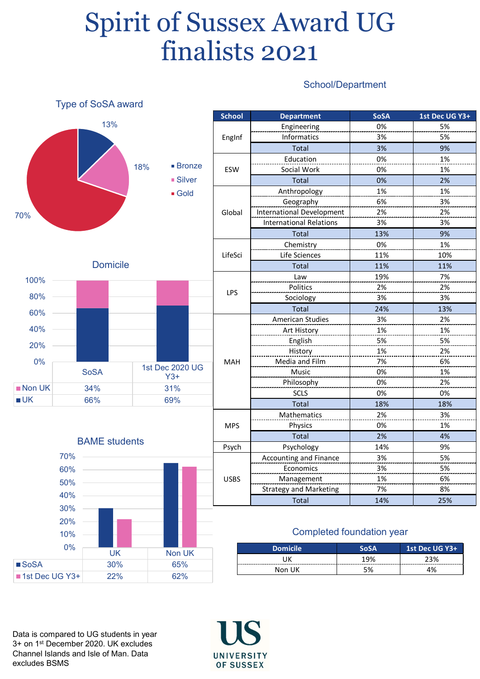## Spirit of Sussex Award UG finalists 2021

## School/Department



Data is compared to UG students in year 3+ on 1st December 2020. UK excludes Channel Islands and Isle of Man. Data excludes BSMS